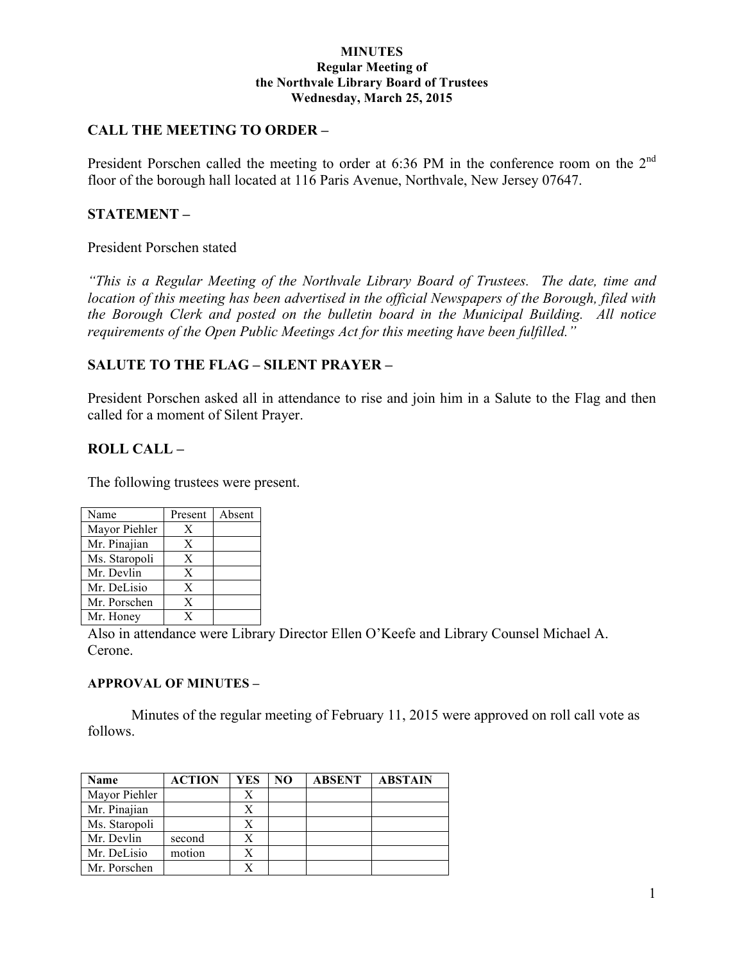#### **MINUTES Regular Meeting of the Northvale Library Board of Trustees Wednesday, March 25, 2015**

# **CALL THE MEETING TO ORDER –**

President Porschen called the meeting to order at 6:36 PM in the conference room on the 2<sup>nd</sup> floor of the borough hall located at 116 Paris Avenue, Northvale, New Jersey 07647.

# **STATEMENT –**

### President Porschen stated

*"This is a Regular Meeting of the Northvale Library Board of Trustees. The date, time and location of this meeting has been advertised in the official Newspapers of the Borough, filed with the Borough Clerk and posted on the bulletin board in the Municipal Building. All notice requirements of the Open Public Meetings Act for this meeting have been fulfilled."* 

## **SALUTE TO THE FLAG – SILENT PRAYER –**

President Porschen asked all in attendance to rise and join him in a Salute to the Flag and then called for a moment of Silent Prayer.

# **ROLL CALL –**

The following trustees were present.

| Name          | Present | Absent |
|---------------|---------|--------|
| Mayor Piehler | X       |        |
| Mr. Pinajian  | X       |        |
| Ms. Staropoli | X       |        |
| Mr. Devlin    | X       |        |
| Mr. DeLisio   | X       |        |
| Mr. Porschen  | X       |        |
| Mr. Honey     | x       |        |

Also in attendance were Library Director Ellen O'Keefe and Library Counsel Michael A. Cerone.

### **APPROVAL OF MINUTES –**

Minutes of the regular meeting of February 11, 2015 were approved on roll call vote as follows.

| <b>Name</b>   | <b>ACTION</b> | YES | NO | <b>ABSENT</b> | <b>ABSTAIN</b> |
|---------------|---------------|-----|----|---------------|----------------|
| Mayor Piehler |               | X   |    |               |                |
| Mr. Pinajian  |               | X   |    |               |                |
| Ms. Staropoli |               | X   |    |               |                |
| Mr. Devlin    | second        | X   |    |               |                |
| Mr. DeLisio   | motion        | X   |    |               |                |
| Mr. Porschen  |               |     |    |               |                |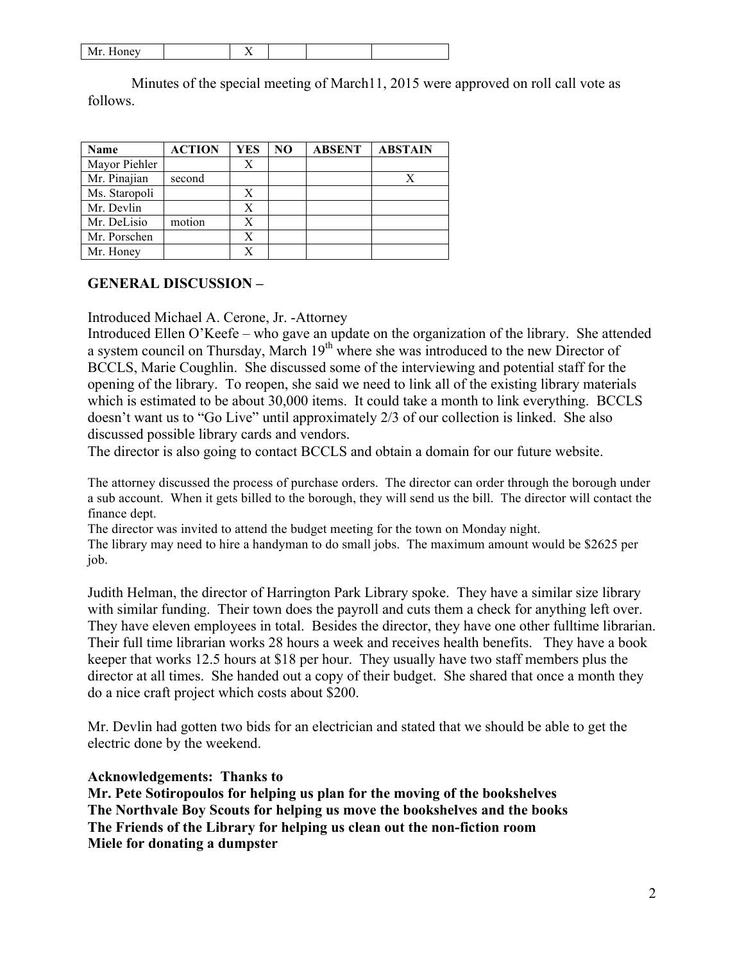| 1111.110115 |  |  |  |
|-------------|--|--|--|
|             |  |  |  |

Minutes of the special meeting of March11, 2015 were approved on roll call vote as follows.

| Name          | <b>ACTION</b> | YES | NO | <b>ABSENT</b> | <b>ABSTAIN</b> |
|---------------|---------------|-----|----|---------------|----------------|
| Mayor Piehler |               | X   |    |               |                |
| Mr. Pinajian  | second        |     |    |               |                |
| Ms. Staropoli |               | Х   |    |               |                |
| Mr. Devlin    |               | Х   |    |               |                |
| Mr. DeLisio   | motion        | Х   |    |               |                |
| Mr. Porschen  |               | X   |    |               |                |
| Mr. Honey     |               | X   |    |               |                |

## **GENERAL DISCUSSION –**

Introduced Michael A. Cerone, Jr. -Attorney

Introduced Ellen O'Keefe – who gave an update on the organization of the library. She attended a system council on Thursday, March  $19<sup>th</sup>$  where she was introduced to the new Director of BCCLS, Marie Coughlin. She discussed some of the interviewing and potential staff for the opening of the library. To reopen, she said we need to link all of the existing library materials which is estimated to be about 30,000 items. It could take a month to link everything. BCCLS doesn't want us to "Go Live" until approximately 2/3 of our collection is linked. She also discussed possible library cards and vendors.

The director is also going to contact BCCLS and obtain a domain for our future website.

The attorney discussed the process of purchase orders. The director can order through the borough under a sub account. When it gets billed to the borough, they will send us the bill. The director will contact the finance dept.

The director was invited to attend the budget meeting for the town on Monday night. The library may need to hire a handyman to do small jobs. The maximum amount would be \$2625 per

job.

Judith Helman, the director of Harrington Park Library spoke. They have a similar size library with similar funding. Their town does the payroll and cuts them a check for anything left over. They have eleven employees in total. Besides the director, they have one other fulltime librarian. Their full time librarian works 28 hours a week and receives health benefits. They have a book keeper that works 12.5 hours at \$18 per hour. They usually have two staff members plus the director at all times. She handed out a copy of their budget. She shared that once a month they do a nice craft project which costs about \$200.

Mr. Devlin had gotten two bids for an electrician and stated that we should be able to get the electric done by the weekend.

## **Acknowledgements: Thanks to**

**Mr. Pete Sotiropoulos for helping us plan for the moving of the bookshelves The Northvale Boy Scouts for helping us move the bookshelves and the books The Friends of the Library for helping us clean out the non-fiction room Miele for donating a dumpster**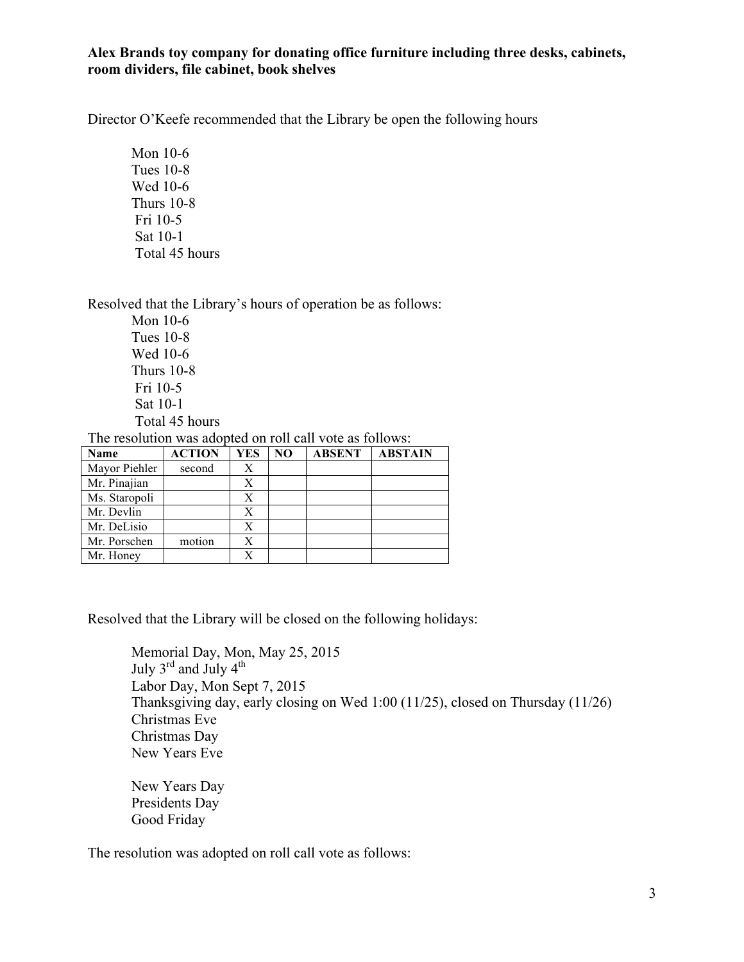### **Alex Brands toy company for donating office furniture including three desks, cabinets, room dividers, file cabinet, book shelves**

Director O'Keefe recommended that the Library be open the following hours

Mon 10-6 Tues 10-8 Wed 10-6 Thurs 10-8 Fri 10-5 Sat 10-1 Total 45 hours

Resolved that the Library's hours of operation be as follows:

Mon 10-6 Tues 10-8 Wed 10-6 Thurs 10-8 Fri 10-5 Sat 10-1 Total 45 hours

The resolution was adopted on roll call vote as follows:

| Name          | <b>ACTION</b> | YES | NO | <b>ABSENT</b> | <b>ABSTAIN</b> |
|---------------|---------------|-----|----|---------------|----------------|
| Mayor Piehler | second        | X   |    |               |                |
| Mr. Pinajian  |               | Х   |    |               |                |
| Ms. Staropoli |               | X   |    |               |                |
| Mr. Devlin    |               | Х   |    |               |                |
| Mr. DeLisio   |               | Χ   |    |               |                |
| Mr. Porschen  | motion        | X   |    |               |                |
| Mr. Honey     |               | X   |    |               |                |

Resolved that the Library will be closed on the following holidays:

Memorial Day, Mon, May 25, 2015 July  $3^{\text{rd}}$  and July  $4^{\text{th}}$ Labor Day, Mon Sept 7, 2015 Thanksgiving day, early closing on Wed 1:00 (11/25), closed on Thursday (11/26) Christmas Eve Christmas Day New Years Eve

New Years Day Presidents Day Good Friday

The resolution was adopted on roll call vote as follows: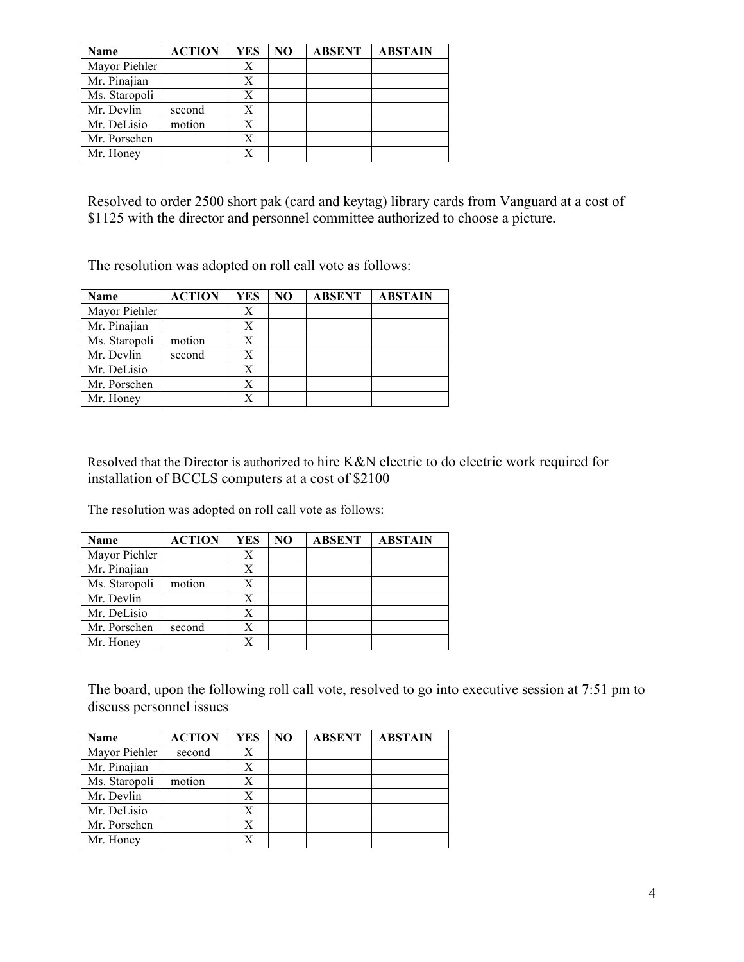| Name          | <b>ACTION</b> | YES | NO | <b>ABSENT</b> | <b>ABSTAIN</b> |
|---------------|---------------|-----|----|---------------|----------------|
| Mayor Piehler |               | Х   |    |               |                |
| Mr. Pinajian  |               | Х   |    |               |                |
| Ms. Staropoli |               | Х   |    |               |                |
| Mr. Devlin    | second        | Х   |    |               |                |
| Mr. DeLisio   | motion        | X   |    |               |                |
| Mr. Porschen  |               | Х   |    |               |                |
| Mr. Honey     |               | X   |    |               |                |

Resolved to order 2500 short pak (card and keytag) library cards from Vanguard at a cost of \$1125 with the director and personnel committee authorized to choose a picture**.**

The resolution was adopted on roll call vote as follows:

| Name          | <b>ACTION</b> | YES | N <sub>O</sub> | <b>ABSENT</b> | <b>ABSTAIN</b> |
|---------------|---------------|-----|----------------|---------------|----------------|
| Mayor Piehler |               | Х   |                |               |                |
| Mr. Pinajian  |               | X   |                |               |                |
| Ms. Staropoli | motion        | Χ   |                |               |                |
| Mr. Devlin    | second        | Х   |                |               |                |
| Mr. DeLisio   |               | X   |                |               |                |
| Mr. Porschen  |               | Х   |                |               |                |
| Mr. Honey     |               | X   |                |               |                |

Resolved that the Director is authorized to hire K&N electric to do electric work required for installation of BCCLS computers at a cost of \$2100

The resolution was adopted on roll call vote as follows:

| Name          | <b>ACTION</b> | YES | N <sub>O</sub> | <b>ABSENT</b> | <b>ABSTAIN</b> |
|---------------|---------------|-----|----------------|---------------|----------------|
| Mayor Piehler |               | X   |                |               |                |
| Mr. Pinajian  |               | X   |                |               |                |
| Ms. Staropoli | motion        | Χ   |                |               |                |
| Mr. Devlin    |               | Х   |                |               |                |
| Mr. DeLisio   |               | X   |                |               |                |
| Mr. Porschen  | second        | Х   |                |               |                |
| Mr. Honey     |               | Y   |                |               |                |

The board, upon the following roll call vote, resolved to go into executive session at 7:51 pm to discuss personnel issues

| Name          | <b>ACTION</b> | <b>YES</b> | N <sub>O</sub> | <b>ABSENT</b> | <b>ABSTAIN</b> |
|---------------|---------------|------------|----------------|---------------|----------------|
| Mayor Piehler | second        | Х          |                |               |                |
| Mr. Pinajian  |               | Х          |                |               |                |
| Ms. Staropoli | motion        | Х          |                |               |                |
| Mr. Devlin    |               | X          |                |               |                |
| Mr. DeLisio   |               | X          |                |               |                |
| Mr. Porschen  |               | Х          |                |               |                |
| Mr. Honey     |               | X          |                |               |                |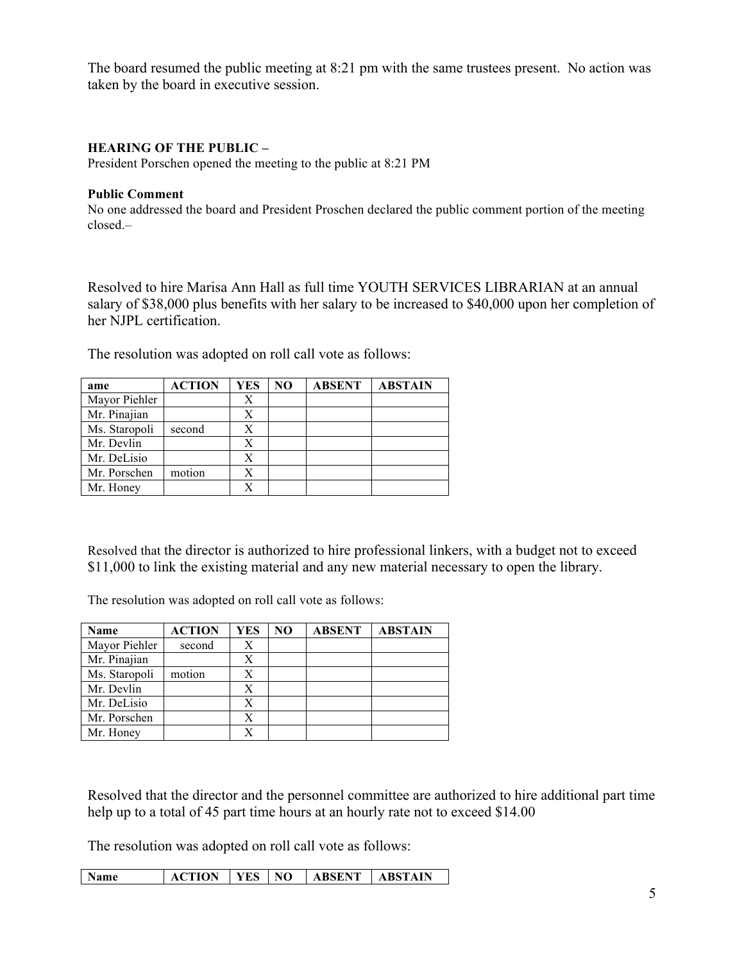The board resumed the public meeting at 8:21 pm with the same trustees present. No action was taken by the board in executive session.

### **HEARING OF THE PUBLIC –**

President Porschen opened the meeting to the public at 8:21 PM

#### **Public Comment**

No one addressed the board and President Proschen declared the public comment portion of the meeting closed.–

Resolved to hire Marisa Ann Hall as full time YOUTH SERVICES LIBRARIAN at an annual salary of \$38,000 plus benefits with her salary to be increased to \$40,000 upon her completion of her NJPL certification.

The resolution was adopted on roll call vote as follows:

| ame           | <b>ACTION</b> | YES | NO | <b>ABSENT</b> | <b>ABSTAIN</b> |
|---------------|---------------|-----|----|---------------|----------------|
| Mayor Piehler |               | Х   |    |               |                |
| Mr. Pinajian  |               | Х   |    |               |                |
| Ms. Staropoli | second        | X   |    |               |                |
| Mr. Devlin    |               | X   |    |               |                |
| Mr. DeLisio   |               | Х   |    |               |                |
| Mr. Porschen  | motion        | Х   |    |               |                |
| Mr. Honey     |               | X   |    |               |                |

Resolved that the director is authorized to hire professional linkers, with a budget not to exceed \$11,000 to link the existing material and any new material necessary to open the library.

The resolution was adopted on roll call vote as follows:

| Name          | <b>ACTION</b> | YES | NO. | <b>ABSENT</b> | <b>ABSTAIN</b> |
|---------------|---------------|-----|-----|---------------|----------------|
| Mayor Piehler | second        | Х   |     |               |                |
| Mr. Pinajian  |               | Х   |     |               |                |
| Ms. Staropoli | motion        | Х   |     |               |                |
| Mr. Devlin    |               | Х   |     |               |                |
| Mr. DeLisio   |               | X   |     |               |                |
| Mr. Porschen  |               | Х   |     |               |                |
| Mr. Honey     |               | X   |     |               |                |

Resolved that the director and the personnel committee are authorized to hire additional part time help up to a total of 45 part time hours at an hourly rate not to exceed \$14.00

The resolution was adopted on roll call vote as follows:

| <b>Name</b><br><b>ACTION</b> | <b>I</b> YES I NO |  | <b>ABSENT ABSTAIN</b> |  |
|------------------------------|-------------------|--|-----------------------|--|
|------------------------------|-------------------|--|-----------------------|--|